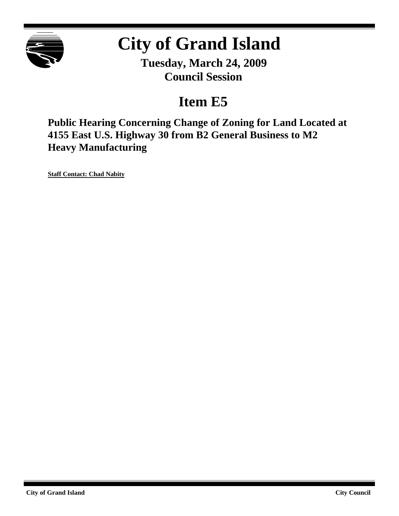

# **City of Grand Island**

**Tuesday, March 24, 2009 Council Session**

## **Item E5**

**Public Hearing Concerning Change of Zoning for Land Located at 4155 East U.S. Highway 30 from B2 General Business to M2 Heavy Manufacturing**

**Staff Contact: Chad Nabity**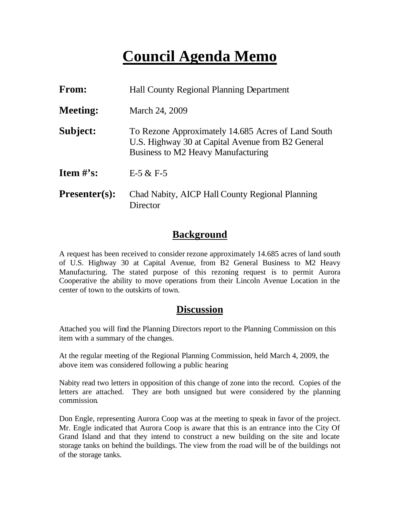## **Council Agenda Memo**

| <b>From:</b>                   | <b>Hall County Regional Planning Department</b>                                                                                               |  |
|--------------------------------|-----------------------------------------------------------------------------------------------------------------------------------------------|--|
| <b>Meeting:</b>                | March 24, 2009                                                                                                                                |  |
| Subject:                       | To Rezone Approximately 14.685 Acres of Land South<br>U.S. Highway 30 at Capital Avenue from B2 General<br>Business to M2 Heavy Manufacturing |  |
| <b>Item <math>\#</math>'s:</b> | $E-5 & E-5$                                                                                                                                   |  |
| <b>Presenter(s):</b>           | Chad Nabity, AICP Hall County Regional Planning<br>Director                                                                                   |  |

### **Background**

A request has been received to consider rezone approximately 14.685 acres of land south of U.S. Highway 30 at Capital Avenue, from B2 General Business to M2 Heavy Manufacturing. The stated purpose of this rezoning request is to permit Aurora Cooperative the ability to move operations from their Lincoln Avenue Location in the center of town to the outskirts of town.

## **Discussion**

Attached you will find the Planning Directors report to the Planning Commission on this item with a summary of the changes.

At the regular meeting of the Regional Planning Commission, held March 4, 2009, the above item was considered following a public hearing

Nabity read two letters in opposition of this change of zone into the record. Copies of the letters are attached. They are both unsigned but were considered by the planning commission.

Don Engle, representing Aurora Coop was at the meeting to speak in favor of the project. Mr. Engle indicated that Aurora Coop is aware that this is an entrance into the City Of Grand Island and that they intend to construct a new building on the site and locate storage tanks on behind the buildings. The view from the road will be of the buildings not of the storage tanks.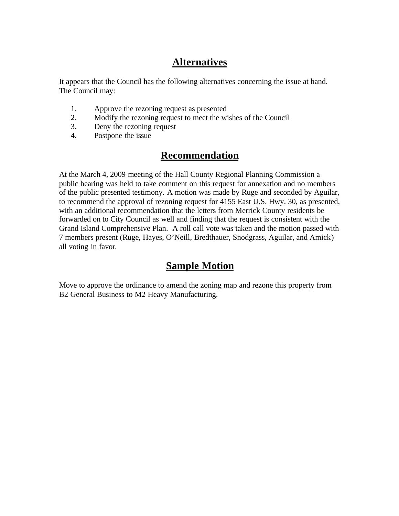## **Alternatives**

It appears that the Council has the following alternatives concerning the issue at hand. The Council may:

- 1. Approve the rezoning request as presented
- 2. Modify the rezoning request to meet the wishes of the Council
- 3. Deny the rezoning request
- 4. Postpone the issue

## **Recommendation**

At the March 4, 2009 meeting of the Hall County Regional Planning Commission a public hearing was held to take comment on this request for annexation and no members of the public presented testimony. A motion was made by Ruge and seconded by Aguilar, to recommend the approval of rezoning request for 4155 East U.S. Hwy. 30, as presented, with an additional recommendation that the letters from Merrick County residents be forwarded on to City Council as well and finding that the request is consistent with the Grand Island Comprehensive Plan. A roll call vote was taken and the motion passed with 7 members present (Ruge, Hayes, O'Neill, Bredthauer, Snodgrass, Aguilar, and Amick) all voting in favor.

## **Sample Motion**

Move to approve the ordinance to amend the zoning map and rezone this property from B2 General Business to M2 Heavy Manufacturing.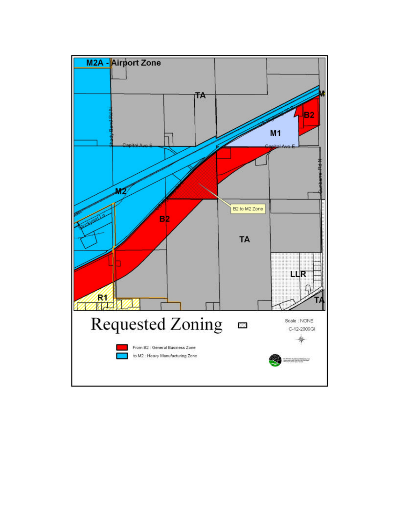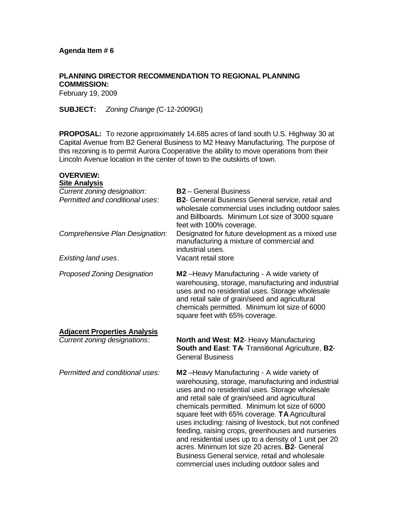**OVERVIEW:** 

**PLANNING DIRECTOR RECOMMENDATION TO REGIONAL PLANNING COMMISSION:** February 19, 2009

**SUBJECT:** *Zoning Change (*C-12-2009GI)

**PROPOSAL:** To rezone approximately 14.685 acres of land south U.S. Highway 30 at Capital Avenue from B2 General Business to M2 Heavy Manufacturing. The purpose of this rezoning is to permit Aurora Cooperative the ability to move operations from their Lincoln Avenue location in the center of town to the outskirts of town.

| <b>Site Analysis</b>                                                                                                     |                                                                                                                                                                                                                                                                                                                                                                         |
|--------------------------------------------------------------------------------------------------------------------------|-------------------------------------------------------------------------------------------------------------------------------------------------------------------------------------------------------------------------------------------------------------------------------------------------------------------------------------------------------------------------|
| Current zoning designation:<br>Permitted and conditional uses:<br>Comprehensive Plan Designation:<br>Existing land uses. | <b>B2</b> - General Business<br><b>B2-</b> General Business General service, retail and<br>wholesale commercial uses including outdoor sales<br>and Billboards. Minimum Lot size of 3000 square<br>feet with 100% coverage.<br>Designated for future development as a mixed use<br>manufacturing a mixture of commercial and<br>industrial uses.<br>Vacant retail store |
|                                                                                                                          |                                                                                                                                                                                                                                                                                                                                                                         |
| <b>Proposed Zoning Designation</b>                                                                                       | M2-Heavy Manufacturing - A wide variety of<br>warehousing, storage, manufacturing and industrial<br>uses and no residential uses. Storage wholesale<br>and retail sale of grain/seed and agricultural<br>chemicals permitted. Minimum lot size of 6000<br>square feet with 65% coverage.                                                                                |
| <b>Adjacent Properties Analysis</b>                                                                                      |                                                                                                                                                                                                                                                                                                                                                                         |
| Current zoning designations:                                                                                             | North and West: M2- Heavy Manufacturing<br><b>South and East: TA- Transitional Agriculture, B2-</b><br><b>General Business</b>                                                                                                                                                                                                                                          |
| Permitted and conditional uses:                                                                                          |                                                                                                                                                                                                                                                                                                                                                                         |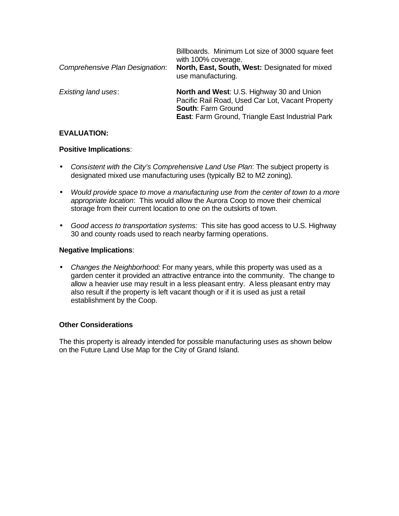| Comprehensive Plan Designation: | Billboards. Minimum Lot size of 3000 square feet<br>with 100% coverage.<br>North, East, South, West: Designated for mixed<br>use manufacturing.                                |
|---------------------------------|--------------------------------------------------------------------------------------------------------------------------------------------------------------------------------|
| <b>Existing land uses:</b>      | North and West: U.S. Highway 30 and Union<br>Pacific Rail Road, Used Car Lot, Vacant Property<br><b>South: Farm Ground</b><br>East: Farm Ground, Triangle East Industrial Park |

#### **EVALUATION:**

#### **Positive Implications**:

- *Consistent with the City's Comprehensive Land Use Plan*: The subject property is designated mixed use manufacturing uses (typically B2 to M2 zoning).
- *Would provide space to move a manufacturing use from the center of town to a more appropriate location*: This would allow the Aurora Coop to move their chemical storage from their current location to one on the outskirts of town.
- *Good access to transportation systems:* This site has good access to U.S. Highway 30 and county roads used to reach nearby farming operations.

#### **Negative Implications**:

• *Changes the Neighborhood:* For many years, while this property was used as a garden center it provided an attractive entrance into the community. The change to allow a heavier use may result in a less pleasant entry. A less pleasant entry may also result if the property is left vacant though or if it is used as just a retail establishment by the Coop.

#### **Other Considerations**

The this property is already intended for possible manufacturing uses as shown below on the Future Land Use Map for the City of Grand Island.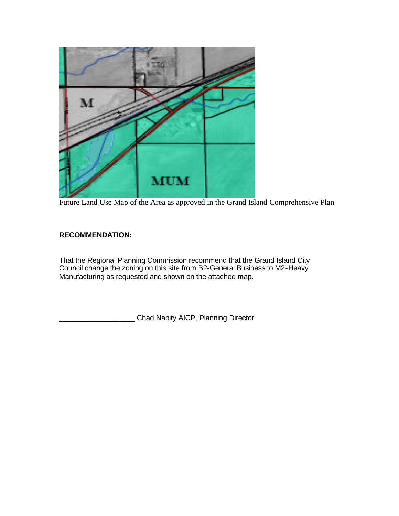

Future Land Use Map of the Area as approved in the Grand Island Comprehensive Plan

#### **RECOMMENDATION:**

That the Regional Planning Commission recommend that the Grand Island City Council change the zoning on this site from B2-General Business to M2-Heavy Manufacturing as requested and shown on the attached map.

Chad Nabity AICP, Planning Director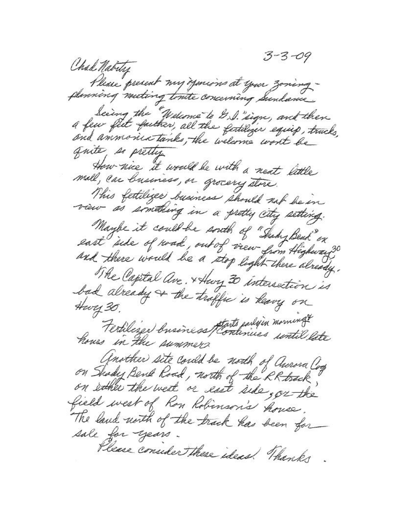$3 - 3 - 09$ Chal Natury Please present my your in at your zoningplanning meeting tonite concerning Sundance being the "Welcome" to D.S. sign, and then<br>a few fiet faither, all the fertilizer equip, trucks, and anmonice tanks, the welcome world be quite, so pretty How nice it would be with a next little mall, car business, or grocery store. This fertilizer business should not be in view as something in a pretty city setting. Maybe it could be south of "Suby Bend" on east ide of road, out of view from Highway? and there would be a stop light there already. The Capital are. + Hury 30 intersection is bad already or the traffic is heavy on Hwy 30. Fertilized business that's parlyin moment? hours in the summers Another site could be north of Aurora Coop on ether the west or east side, or the field west of Ron Robinson's house. The land north of the track has been for sale for years Please consider these ideas! Thanks